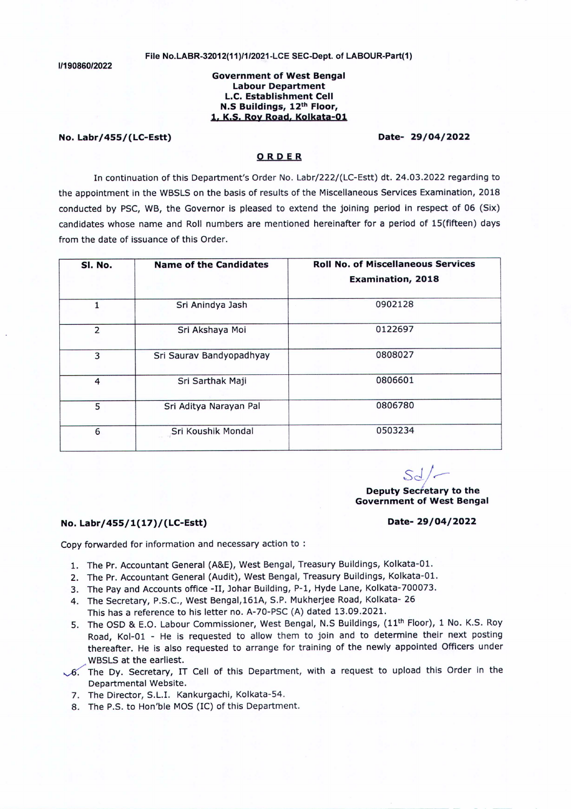**1/190860/2022**

### **File No.LABR-32012(11 )/1/2021-LCE SEC-Dept. of LABOUR-Part(1)**

# **Government of West Bengal Labour Department L.C. Establishment Cell N.S Buildings, 12th Floor, I. K.S. Roy Road. Kolkata-Ol**

# **No. Labr/455/(LC-Estt) Date- 29/04/2022**

# **ORDER**

In continuation of this Department's Order No. Labr/222/(LC-Estt) dt. 24.03.2022 regarding to the appointment in the WBSLS on the basis of results of the Miscellaneous Services Examination, 2018 conducted by PSC, WB, the Governor is pleased to extend the joining period in respect of 06 (Six) candidates whose name and Roll numbers are mentioned hereinafter for a period of lS(fifteen) days from the date of issuance of this Order.

| SI. No.        | <b>Name of the Candidates</b> | <b>Roll No. of Miscellaneous Services</b> |
|----------------|-------------------------------|-------------------------------------------|
|                |                               | <b>Examination, 2018</b>                  |
| 1              | Sri Anindya Jash              | 0902128                                   |
| $\overline{2}$ | Sri Akshaya Moi               | 0122697                                   |
| 3              | Sri Saurav Bandyopadhyay      | 0808027                                   |
| $\overline{4}$ | Sri Sarthak Maji              | 0806601                                   |
| 5              | Sri Aditya Narayan Pal        | 0806780                                   |
| 6              | Sri Koushik Mondal            | 0503234                                   |

*SJ/r--*

# **Deputy Secretary to the Government of West Bengal**

# **No. Labr/455/1(17)/(LC-Estt) Date- 29/04/2022**

Copy forwarded for information and necessary action to :

- 1. The Pr. Accountant General (A&E), West Bengal, Treasury Buildings, Kolkata-01.
- 2. The Pr. Accountant General (Audit), West Bengal, Treasury Buildings, Kolkata-01.
- 3. The Pay and Accounts office -II, Johar Building, P-1, Hyde Lane, Kolkata-700073.
- 4. The Secretary, P.S.c., West Bengal,161A, S.P. Mukherjee Road, Kolkata- 26

This has a reference to his letter no. A-70-PSC (A) dated 13.09.2021.

- 5. The OSD & E.O. Labour Commissioner, West Bengal, N.S Buildings, (11<sup>th</sup> Floor), 1 No. K.S. Roy Road, Kol-01 - He is requested to allow them to join and to determine their next posting thereafter. He is also requested to arrange for training of the newly appointed Officers under WBSLS at the earliest.
- $\sqrt{6}$ . The Dy. Secretary, IT Cell of this Department, with a request to upload this Order in the Departmental Website.
	- 7. The Director, S.L.I. Kankurgachi, Kolkata-S4.
	- 8. The P.S. to Hon'ble MOS(IC) of this Department.